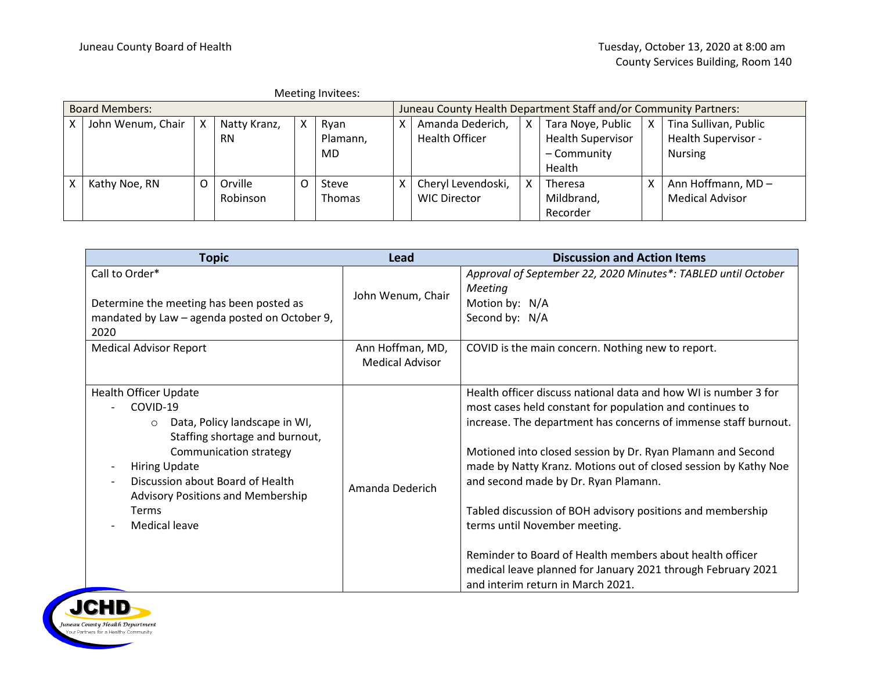|                       |                   |          |              |          | Meeting Invitees: |                                                                  |                       |  |                          |  |                        |
|-----------------------|-------------------|----------|--------------|----------|-------------------|------------------------------------------------------------------|-----------------------|--|--------------------------|--|------------------------|
| <b>Board Members:</b> |                   |          |              |          |                   | Juneau County Health Department Staff and/or Community Partners: |                       |  |                          |  |                        |
|                       | John Wenum, Chair | X        | Natty Kranz, | X        | Ryan              | X.                                                               | Amanda Dederich,      |  | Tara Noye, Public        |  | Tina Sullivan, Public  |
|                       |                   |          | <b>RN</b>    |          | Plamann,          |                                                                  | <b>Health Officer</b> |  | <b>Health Supervisor</b> |  | Health Supervisor -    |
|                       |                   |          |              |          | MD                |                                                                  |                       |  | - Community              |  | <b>Nursing</b>         |
|                       |                   |          |              |          |                   |                                                                  |                       |  | Health                   |  |                        |
|                       | Kathy Noe, RN     | $\Omega$ | Orville      | $\Omega$ | Steve             | X.                                                               | Cheryl Levendoski,    |  | Theresa                  |  | Ann Hoffmann, MD-      |
|                       |                   |          | Robinson     |          | <b>Thomas</b>     |                                                                  | <b>WIC Director</b>   |  | Mildbrand,               |  | <b>Medical Advisor</b> |
|                       |                   |          |              |          |                   |                                                                  |                       |  | Recorder                 |  |                        |

| <b>Topic</b>                                                                                                                                                                                                                                                                                                          | Lead                                       | <b>Discussion and Action Items</b>                                                                                                                                                                                                                                                                                                                                                                                                                                                                                                                                                                                                       |
|-----------------------------------------------------------------------------------------------------------------------------------------------------------------------------------------------------------------------------------------------------------------------------------------------------------------------|--------------------------------------------|------------------------------------------------------------------------------------------------------------------------------------------------------------------------------------------------------------------------------------------------------------------------------------------------------------------------------------------------------------------------------------------------------------------------------------------------------------------------------------------------------------------------------------------------------------------------------------------------------------------------------------------|
| Call to Order*<br>Determine the meeting has been posted as<br>mandated by Law - agenda posted on October 9,<br>2020                                                                                                                                                                                                   | John Wenum, Chair                          | Approval of September 22, 2020 Minutes*: TABLED until October<br>Meeting<br>Motion by: N/A<br>Second by: N/A                                                                                                                                                                                                                                                                                                                                                                                                                                                                                                                             |
| <b>Medical Advisor Report</b>                                                                                                                                                                                                                                                                                         | Ann Hoffman, MD,<br><b>Medical Advisor</b> | COVID is the main concern. Nothing new to report.                                                                                                                                                                                                                                                                                                                                                                                                                                                                                                                                                                                        |
| <b>Health Officer Update</b><br>COVID-19<br>Data, Policy landscape in WI,<br>$\circ$<br>Staffing shortage and burnout,<br>Communication strategy<br><b>Hiring Update</b><br>$\overline{\phantom{a}}$<br>Discussion about Board of Health<br><b>Advisory Positions and Membership</b><br><b>Terms</b><br>Medical leave | Amanda Dederich                            | Health officer discuss national data and how WI is number 3 for<br>most cases held constant for population and continues to<br>increase. The department has concerns of immense staff burnout.<br>Motioned into closed session by Dr. Ryan Plamann and Second<br>made by Natty Kranz. Motions out of closed session by Kathy Noe<br>and second made by Dr. Ryan Plamann.<br>Tabled discussion of BOH advisory positions and membership<br>terms until November meeting.<br>Reminder to Board of Health members about health officer<br>medical leave planned for January 2021 through February 2021<br>and interim return in March 2021. |